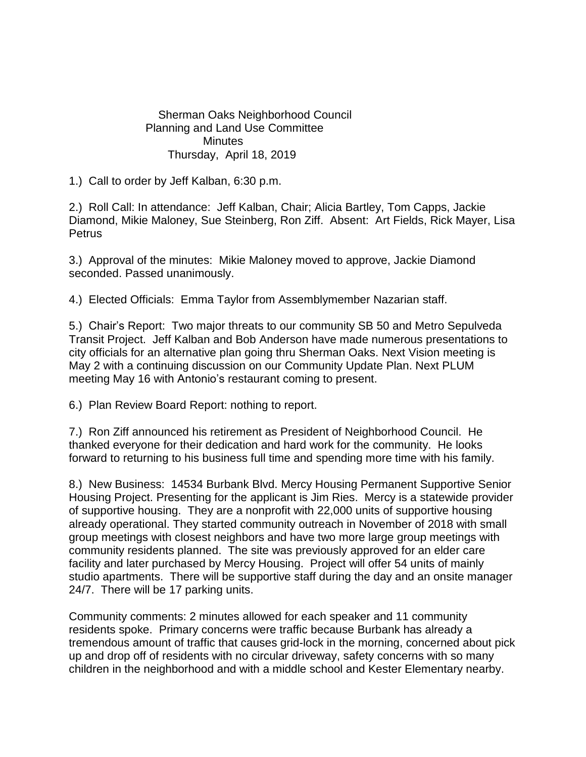Sherman Oaks Neighborhood Council Planning and Land Use Committee **Minutes** Thursday, April 18, 2019

1.) Call to order by Jeff Kalban, 6:30 p.m.

2.) Roll Call: In attendance: Jeff Kalban, Chair; Alicia Bartley, Tom Capps, Jackie Diamond, Mikie Maloney, Sue Steinberg, Ron Ziff. Absent: Art Fields, Rick Mayer, Lisa **Petrus** 

3.) Approval of the minutes: Mikie Maloney moved to approve, Jackie Diamond seconded. Passed unanimously.

4.) Elected Officials: Emma Taylor from Assemblymember Nazarian staff.

5.) Chair's Report: Two major threats to our community SB 50 and Metro Sepulveda Transit Project. Jeff Kalban and Bob Anderson have made numerous presentations to city officials for an alternative plan going thru Sherman Oaks. Next Vision meeting is May 2 with a continuing discussion on our Community Update Plan. Next PLUM meeting May 16 with Antonio's restaurant coming to present.

6.) Plan Review Board Report: nothing to report.

7.) Ron Ziff announced his retirement as President of Neighborhood Council. He thanked everyone for their dedication and hard work for the community. He looks forward to returning to his business full time and spending more time with his family.

8.) New Business: 14534 Burbank Blvd. Mercy Housing Permanent Supportive Senior Housing Project. Presenting for the applicant is Jim Ries. Mercy is a statewide provider of supportive housing. They are a nonprofit with 22,000 units of supportive housing already operational. They started community outreach in November of 2018 with small group meetings with closest neighbors and have two more large group meetings with community residents planned. The site was previously approved for an elder care facility and later purchased by Mercy Housing. Project will offer 54 units of mainly studio apartments. There will be supportive staff during the day and an onsite manager 24/7. There will be 17 parking units.

Community comments: 2 minutes allowed for each speaker and 11 community residents spoke. Primary concerns were traffic because Burbank has already a tremendous amount of traffic that causes grid-lock in the morning, concerned about pick up and drop off of residents with no circular driveway, safety concerns with so many children in the neighborhood and with a middle school and Kester Elementary nearby.